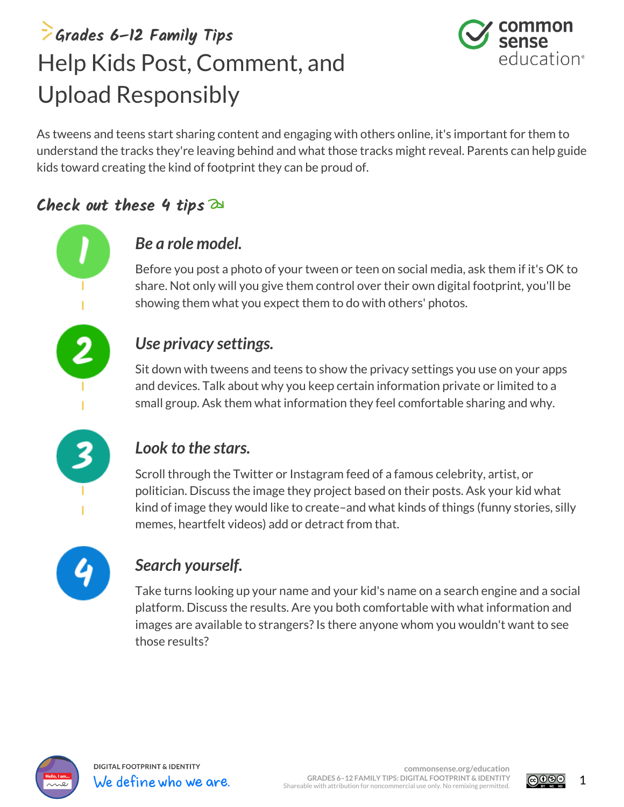## **Grades 6–12 Family Tips** Help Kids Post, Comment, and Upload Responsibly



As tweens and teens start sharing content and engaging with others online, it's important for them to understand the tracks they're leaving behind and what those tracks might reveal. Parents can help guide kids toward creating the kind of footprint they can be proud of.

### **Check out these 4 tips**



Before you post a photo of your tween or teen on social media, ask them if it's OK to share. Not only will you give them control over their own digital footprint, you'll be showing them what you expect them to do with others' photos.

#### *Use privacy settings.*

Sit down with tweens and teens to show the privacy settings you use on your apps and devices. Talk about why you keep certain information private or limited to a small group. Ask them what information they feel comfortable sharing and why.



#### *Look to the stars.*

Scroll through the Twitter or Instagram feed of a famous celebrity, artist, or politician. Discuss the image they project based on their posts. Ask your kid what kind of image they would like to create–and what kinds of things (funny stories, silly memes, heartfelt videos) add or detract from that.



#### *Search yourself.*

Take turns looking up your name and your kid's name on a search engine and a social platform. Discuss the results. Are you both comfortable with what information and images are available to strangers? Is there anyone whom you wouldn't want to see those results?



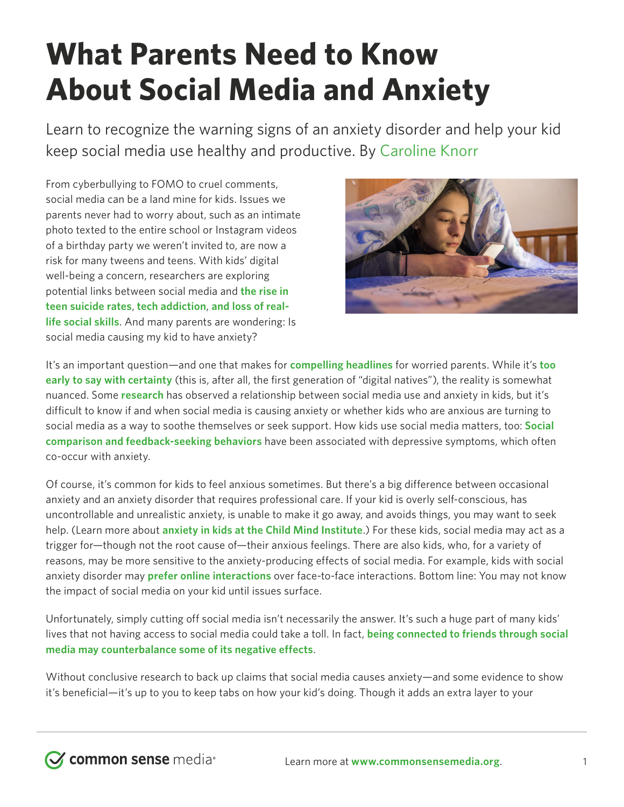# **What Parents Need to Know About Social Media and Anxiety**

Learn to recognize the warning signs of an anxiety disorder and help your kid keep social media use healthy and productive. By [Caroline Knorr](https://www.commonsensemedia.org/users/caroline-knorr/bio)

From cyberbullying to FOMO to cruel comments, social media can be a land mine for kids. Issues we parents never had to worry about, such as an intimate photo texted to the entire school or Instagram videos of a birthday party we weren't invited to, are now a risk for many tweens and teens. With kids' digital well-being a concern, researchers are exploring potential links between social media and **[the rise in](https://www.nbcnews.com/news/us-news/social-media-contributing-rising-teen-suicide-rate-n812426)  [teen suicide rates](https://www.nbcnews.com/news/us-news/social-media-contributing-rising-teen-suicide-rate-n812426)**, **tech addiction**, **and loss of real[life social skills](https://www.nbcnews.com/news/us-news/social-media-contributing-rising-teen-suicide-rate-n812426)**. And many parents are wondering: Is social media causing my kid to have anxiety?



It's an important question—and one that makes for **[compelling headlines](https://www.theatlantic.com/magazine/archive/2017/09/has-the-smartphone-destroyed-a-generation/534198/)** for worried parents. While it's **[too](https://www.psycom.net/social-media-teen-mental-health)  [early to say with certainty](https://www.psycom.net/social-media-teen-mental-health)** (this is, after all, the first generation of "digital natives"), the reality is somewhat nuanced. Some **[research](https://www.ncbi.nlm.nih.gov/pubmed/29093037)** has observed a relationship between social media use and anxiety in kids, but it's difficult to know if and when social media is causing anxiety or whether kids who are anxious are turning to social media as a way to soothe themselves or seek support. How kids use social media matters, too: **[Social](https://www.ncbi.nlm.nih.gov/pubmed/25899879)  [comparison and feedback-seeking behaviors](https://www.ncbi.nlm.nih.gov/pubmed/25899879)** have been associated with depressive symptoms, which often co-occur with anxiety.

Of course, it's common for kids to feel anxious sometimes. But there's a big difference between occasional anxiety and an anxiety disorder that requires professional care. If your kid is overly self-conscious, has uncontrollable and unrealistic anxiety, is unable to make it go away, and avoids things, you may want to seek help. (Learn more about **[anxiety in kids at the Child Mind Institute](https://childmind.org/topics/concerns/anxiety/)**.) For these kids, social media may act as a trigger for—though not the root cause of—their anxious feelings. There are also kids, who, for a variety of reasons, may be more sensitive to the anxiety-producing effects of social media. For example, kids with social anxiety disorder may **[prefer online interactions](https://www.semanticscholar.org/paper/Loneliness%2C-social-support%2C-and-preference-for-the-Leung/a1aa70d4c19130df1abea69e307ccbed8c236b71)** over face-to-face interactions. Bottom line: You may not know the impact of social media on your kid until issues surface.

Unfortunately, simply cutting off social media isn't necessarily the answer. It's such a huge part of many kids' lives that not having access to social media could take a toll. In fact, **[being connected to friends through social](https://www.commonsensemedia.org/blog/5-reasons-you-dont-need-to-worry-about-kids-and-social-media)  [media may counterbalance some of its negative effects](https://www.commonsensemedia.org/blog/5-reasons-you-dont-need-to-worry-about-kids-and-social-media)**.

Without conclusive research to back up claims that social media causes anxiety—and some evidence to show it's beneficial—it's up to you to keep tabs on how your kid's doing. Though it adds an extra layer to your